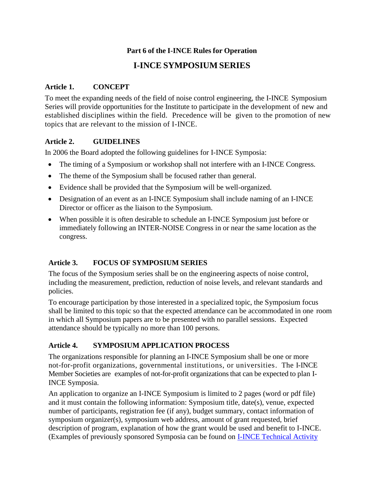#### **Part 6 of the I-INCE Rules for Operation**

# **I-INCE SYMPOSIUM SERIES**

#### **Article 1. CONCEPT**

To meet the expanding needs of the field of noise control engineering, the I-INCE Symposium Series will provide opportunities for the Institute to participate in the development of new and established disciplines within the field. Precedence will be given to the promotion of new topics that are relevant to the mission of I-INCE.

#### **Article 2. GUIDELINES**

In 2006 the Board adopted the following guidelines for I-INCE Symposia:

- The timing of a Symposium or workshop shall not interfere with an I-INCE Congress.
- The theme of the Symposium shall be focused rather than general.
- Evidence shall be provided that the Symposium will be well-organized.
- Designation of an event as an I-INCE Symposium shall include naming of an I-INCE Director or officer as the liaison to the Symposium.
- When possible it is often desirable to schedule an I-INCE Symposium just before or immediately following an INTER-NOISE Congress in or near the same location as the congress.

## **Article 3. FOCUS OF SYMPOSIUM SERIES**

The focus of the Symposium series shall be on the engineering aspects of noise control, including the measurement, prediction, reduction of noise levels, and relevant standards and policies.

To encourage participation by those interested in a specialized topic, the Symposium focus shall be limited to this topic so that the expected attendance can be accommodated in one room in which all Symposium papers are to be presented with no parallel sessions. Expected attendance should be typically no more than 100 persons.

### **Article 4. SYMPOSIUM APPLICATION PROCESS**

The organizations responsible for planning an I-INCE Symposium shall be one or more not-for-profit organizations, governmental institutions, or universities. The I-INCE Member Societies are examples of not-for-profit organizations that can be expected to plan I-INCE Symposia.

An application to organize an I-INCE Symposium is limited to 2 pages (word or pdf file) and it must contain the following information: Symposium title, date(s), venue, expected number of participants, registration fee (if any), budget summary, contact information of symposium organizer(s), symposium web address, amount of grant requested, brief description of program, explanation of how the grant would be used and benefit to I-INCE. (Examples of previously sponsored Symposia can be found on I-INCE [Technical](http://i-ince.org/activities.php) Activity